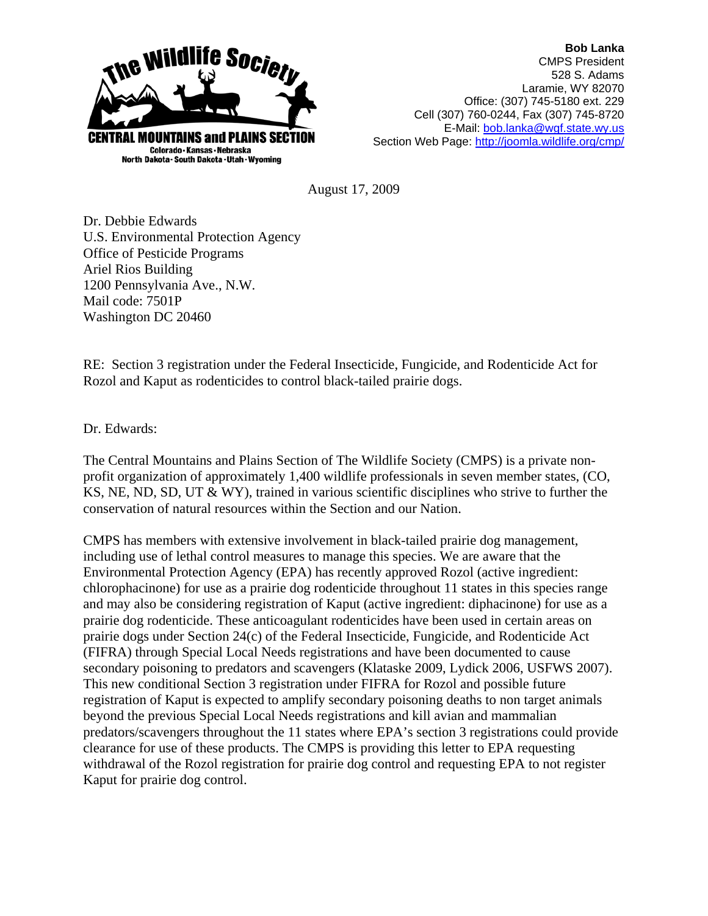

**Bob Lanka** CMPS President 528 S. Adams Laramie, WY 82070 Office: (307) 745-5180 ext. 229 Cell (307) 760-0244, Fax (307) 745-8720 E-Mail: bob.lanka@wgf.state.wy.us Section Web Page: http://joomla.wildlife.org/cmp/

August 17, 2009

Dr. Debbie Edwards U.S. Environmental Protection Agency Office of Pesticide Programs Ariel Rios Building 1200 Pennsylvania Ave., N.W. Mail code: 7501P Washington DC 20460

RE: Section 3 registration under the Federal Insecticide, Fungicide, and Rodenticide Act for Rozol and Kaput as rodenticides to control black-tailed prairie dogs.

Dr. Edwards:

The Central Mountains and Plains Section of The Wildlife Society (CMPS) is a private nonprofit organization of approximately 1,400 wildlife professionals in seven member states, (CO, KS, NE, ND, SD, UT & WY), trained in various scientific disciplines who strive to further the conservation of natural resources within the Section and our Nation.

CMPS has members with extensive involvement in black-tailed prairie dog management, including use of lethal control measures to manage this species. We are aware that the Environmental Protection Agency (EPA) has recently approved Rozol (active ingredient: chlorophacinone) for use as a prairie dog rodenticide throughout 11 states in this species range and may also be considering registration of Kaput (active ingredient: diphacinone) for use as a prairie dog rodenticide. These anticoagulant rodenticides have been used in certain areas on prairie dogs under Section 24(c) of the Federal Insecticide, Fungicide, and Rodenticide Act (FIFRA) through Special Local Needs registrations and have been documented to cause secondary poisoning to predators and scavengers (Klataske 2009, Lydick 2006, USFWS 2007). This new conditional Section 3 registration under FIFRA for Rozol and possible future registration of Kaput is expected to amplify secondary poisoning deaths to non target animals beyond the previous Special Local Needs registrations and kill avian and mammalian predators/scavengers throughout the 11 states where EPA's section 3 registrations could provide clearance for use of these products. The CMPS is providing this letter to EPA requesting withdrawal of the Rozol registration for prairie dog control and requesting EPA to not register Kaput for prairie dog control.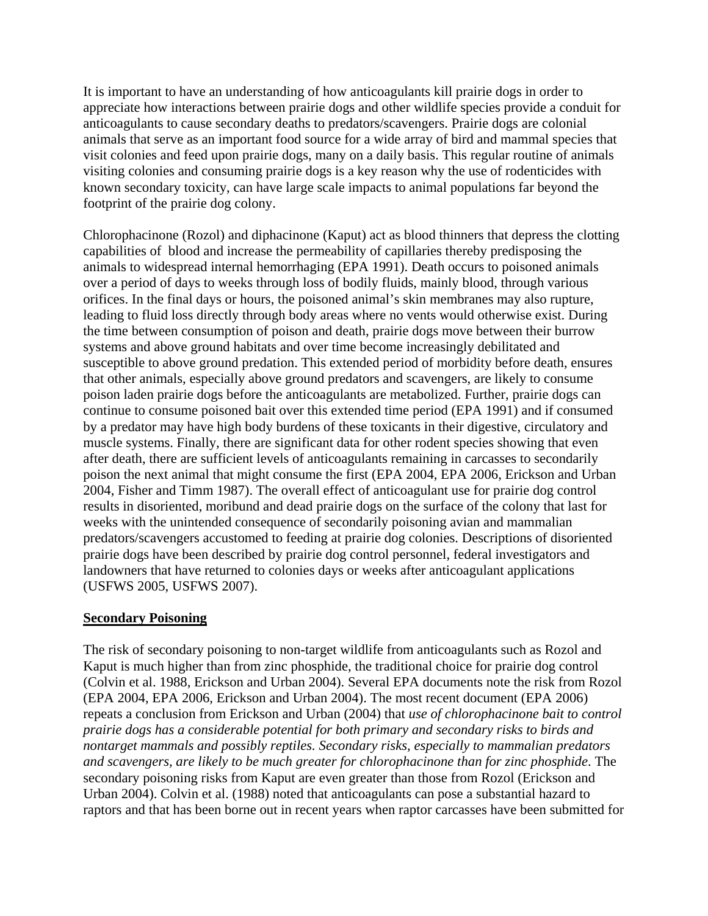It is important to have an understanding of how anticoagulants kill prairie dogs in order to appreciate how interactions between prairie dogs and other wildlife species provide a conduit for anticoagulants to cause secondary deaths to predators/scavengers. Prairie dogs are colonial animals that serve as an important food source for a wide array of bird and mammal species that visit colonies and feed upon prairie dogs, many on a daily basis. This regular routine of animals visiting colonies and consuming prairie dogs is a key reason why the use of rodenticides with known secondary toxicity, can have large scale impacts to animal populations far beyond the footprint of the prairie dog colony.

Chlorophacinone (Rozol) and diphacinone (Kaput) act as blood thinners that depress the clotting capabilities of blood and increase the permeability of capillaries thereby predisposing the animals to widespread internal hemorrhaging (EPA 1991). Death occurs to poisoned animals over a period of days to weeks through loss of bodily fluids, mainly blood, through various orifices. In the final days or hours, the poisoned animal's skin membranes may also rupture, leading to fluid loss directly through body areas where no vents would otherwise exist. During the time between consumption of poison and death, prairie dogs move between their burrow systems and above ground habitats and over time become increasingly debilitated and susceptible to above ground predation. This extended period of morbidity before death, ensures that other animals, especially above ground predators and scavengers, are likely to consume poison laden prairie dogs before the anticoagulants are metabolized. Further, prairie dogs can continue to consume poisoned bait over this extended time period (EPA 1991) and if consumed by a predator may have high body burdens of these toxicants in their digestive, circulatory and muscle systems. Finally, there are significant data for other rodent species showing that even after death, there are sufficient levels of anticoagulants remaining in carcasses to secondarily poison the next animal that might consume the first (EPA 2004, EPA 2006, Erickson and Urban 2004, Fisher and Timm 1987). The overall effect of anticoagulant use for prairie dog control results in disoriented, moribund and dead prairie dogs on the surface of the colony that last for weeks with the unintended consequence of secondarily poisoning avian and mammalian predators/scavengers accustomed to feeding at prairie dog colonies. Descriptions of disoriented prairie dogs have been described by prairie dog control personnel, federal investigators and landowners that have returned to colonies days or weeks after anticoagulant applications (USFWS 2005, USFWS 2007).

# **Secondary Poisoning**

The risk of secondary poisoning to non-target wildlife from anticoagulants such as Rozol and Kaput is much higher than from zinc phosphide, the traditional choice for prairie dog control (Colvin et al. 1988, Erickson and Urban 2004). Several EPA documents note the risk from Rozol (EPA 2004, EPA 2006, Erickson and Urban 2004). The most recent document (EPA 2006) repeats a conclusion from Erickson and Urban (2004) that *use of chlorophacinone bait to control prairie dogs has a considerable potential for both primary and secondary risks to birds and nontarget mammals and possibly reptiles. Secondary risks, especially to mammalian predators and scavengers, are likely to be much greater for chlorophacinone than for zinc phosphide*. The secondary poisoning risks from Kaput are even greater than those from Rozol (Erickson and Urban 2004). Colvin et al. (1988) noted that anticoagulants can pose a substantial hazard to raptors and that has been borne out in recent years when raptor carcasses have been submitted for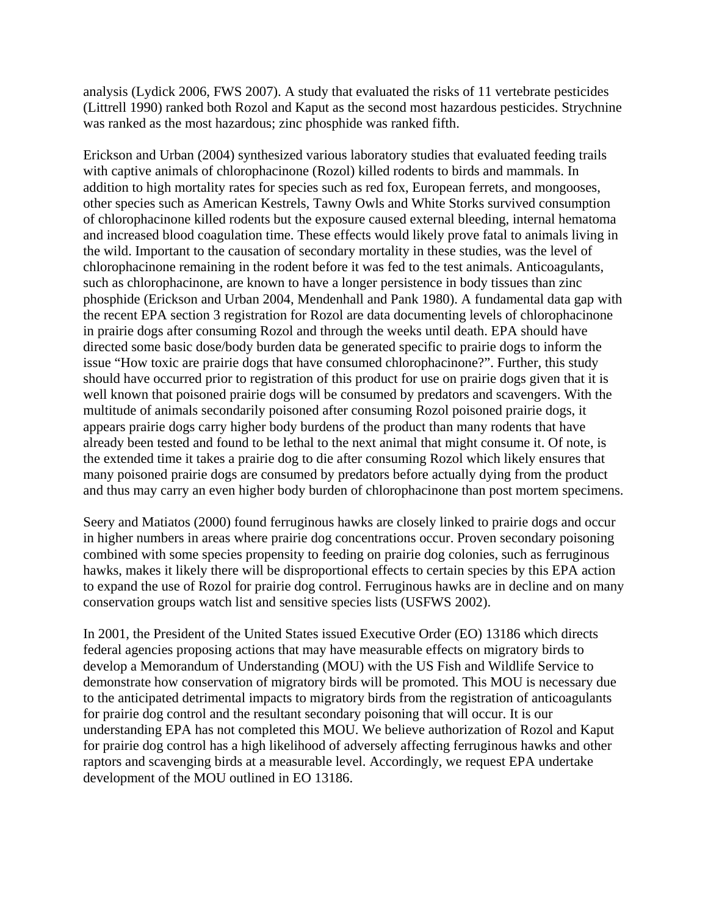analysis (Lydick 2006, FWS 2007). A study that evaluated the risks of 11 vertebrate pesticides (Littrell 1990) ranked both Rozol and Kaput as the second most hazardous pesticides. Strychnine was ranked as the most hazardous; zinc phosphide was ranked fifth.

Erickson and Urban (2004) synthesized various laboratory studies that evaluated feeding trails with captive animals of chlorophacinone (Rozol) killed rodents to birds and mammals. In addition to high mortality rates for species such as red fox, European ferrets, and mongooses, other species such as American Kestrels, Tawny Owls and White Storks survived consumption of chlorophacinone killed rodents but the exposure caused external bleeding, internal hematoma and increased blood coagulation time. These effects would likely prove fatal to animals living in the wild. Important to the causation of secondary mortality in these studies, was the level of chlorophacinone remaining in the rodent before it was fed to the test animals. Anticoagulants, such as chlorophacinone, are known to have a longer persistence in body tissues than zinc phosphide (Erickson and Urban 2004, Mendenhall and Pank 1980). A fundamental data gap with the recent EPA section 3 registration for Rozol are data documenting levels of chlorophacinone in prairie dogs after consuming Rozol and through the weeks until death. EPA should have directed some basic dose/body burden data be generated specific to prairie dogs to inform the issue "How toxic are prairie dogs that have consumed chlorophacinone?". Further, this study should have occurred prior to registration of this product for use on prairie dogs given that it is well known that poisoned prairie dogs will be consumed by predators and scavengers. With the multitude of animals secondarily poisoned after consuming Rozol poisoned prairie dogs, it appears prairie dogs carry higher body burdens of the product than many rodents that have already been tested and found to be lethal to the next animal that might consume it. Of note, is the extended time it takes a prairie dog to die after consuming Rozol which likely ensures that many poisoned prairie dogs are consumed by predators before actually dying from the product and thus may carry an even higher body burden of chlorophacinone than post mortem specimens.

Seery and Matiatos (2000) found ferruginous hawks are closely linked to prairie dogs and occur in higher numbers in areas where prairie dog concentrations occur. Proven secondary poisoning combined with some species propensity to feeding on prairie dog colonies, such as ferruginous hawks, makes it likely there will be disproportional effects to certain species by this EPA action to expand the use of Rozol for prairie dog control. Ferruginous hawks are in decline and on many conservation groups watch list and sensitive species lists (USFWS 2002).

In 2001, the President of the United States issued Executive Order (EO) 13186 which directs federal agencies proposing actions that may have measurable effects on migratory birds to develop a Memorandum of Understanding (MOU) with the US Fish and Wildlife Service to demonstrate how conservation of migratory birds will be promoted. This MOU is necessary due to the anticipated detrimental impacts to migratory birds from the registration of anticoagulants for prairie dog control and the resultant secondary poisoning that will occur. It is our understanding EPA has not completed this MOU. We believe authorization of Rozol and Kaput for prairie dog control has a high likelihood of adversely affecting ferruginous hawks and other raptors and scavenging birds at a measurable level. Accordingly, we request EPA undertake development of the MOU outlined in EO 13186.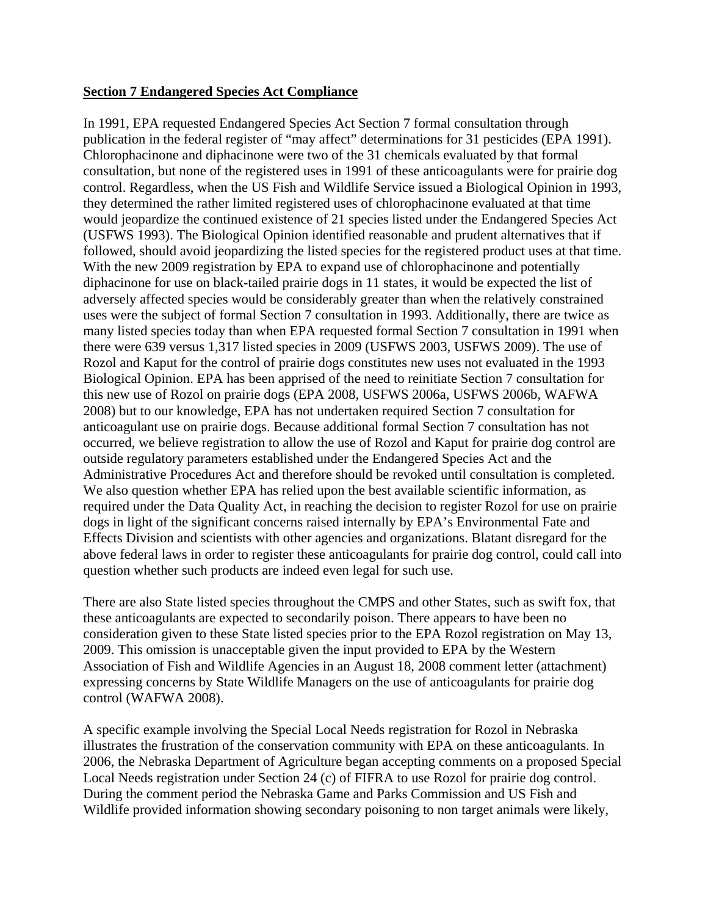#### **Section 7 Endangered Species Act Compliance**

In 1991, EPA requested Endangered Species Act Section 7 formal consultation through publication in the federal register of "may affect" determinations for 31 pesticides (EPA 1991). Chlorophacinone and diphacinone were two of the 31 chemicals evaluated by that formal consultation, but none of the registered uses in 1991 of these anticoagulants were for prairie dog control. Regardless, when the US Fish and Wildlife Service issued a Biological Opinion in 1993, they determined the rather limited registered uses of chlorophacinone evaluated at that time would jeopardize the continued existence of 21 species listed under the Endangered Species Act (USFWS 1993). The Biological Opinion identified reasonable and prudent alternatives that if followed, should avoid jeopardizing the listed species for the registered product uses at that time. With the new 2009 registration by EPA to expand use of chlorophacinone and potentially diphacinone for use on black-tailed prairie dogs in 11 states, it would be expected the list of adversely affected species would be considerably greater than when the relatively constrained uses were the subject of formal Section 7 consultation in 1993. Additionally, there are twice as many listed species today than when EPA requested formal Section 7 consultation in 1991 when there were 639 versus 1,317 listed species in 2009 (USFWS 2003, USFWS 2009). The use of Rozol and Kaput for the control of prairie dogs constitutes new uses not evaluated in the 1993 Biological Opinion. EPA has been apprised of the need to reinitiate Section 7 consultation for this new use of Rozol on prairie dogs (EPA 2008, USFWS 2006a, USFWS 2006b, WAFWA 2008) but to our knowledge, EPA has not undertaken required Section 7 consultation for anticoagulant use on prairie dogs. Because additional formal Section 7 consultation has not occurred, we believe registration to allow the use of Rozol and Kaput for prairie dog control are outside regulatory parameters established under the Endangered Species Act and the Administrative Procedures Act and therefore should be revoked until consultation is completed. We also question whether EPA has relied upon the best available scientific information, as required under the Data Quality Act, in reaching the decision to register Rozol for use on prairie dogs in light of the significant concerns raised internally by EPA's Environmental Fate and Effects Division and scientists with other agencies and organizations. Blatant disregard for the above federal laws in order to register these anticoagulants for prairie dog control, could call into question whether such products are indeed even legal for such use.

There are also State listed species throughout the CMPS and other States, such as swift fox, that these anticoagulants are expected to secondarily poison. There appears to have been no consideration given to these State listed species prior to the EPA Rozol registration on May 13, 2009. This omission is unacceptable given the input provided to EPA by the Western Association of Fish and Wildlife Agencies in an August 18, 2008 comment letter (attachment) expressing concerns by State Wildlife Managers on the use of anticoagulants for prairie dog control (WAFWA 2008).

A specific example involving the Special Local Needs registration for Rozol in Nebraska illustrates the frustration of the conservation community with EPA on these anticoagulants. In 2006, the Nebraska Department of Agriculture began accepting comments on a proposed Special Local Needs registration under Section 24 (c) of FIFRA to use Rozol for prairie dog control. During the comment period the Nebraska Game and Parks Commission and US Fish and Wildlife provided information showing secondary poisoning to non target animals were likely,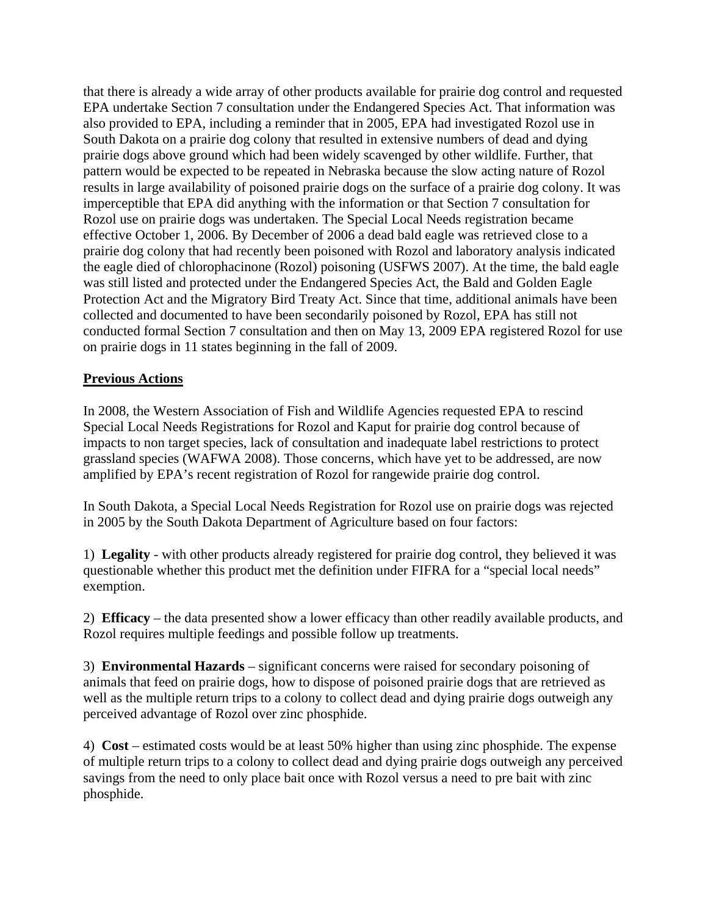that there is already a wide array of other products available for prairie dog control and requested EPA undertake Section 7 consultation under the Endangered Species Act. That information was also provided to EPA, including a reminder that in 2005, EPA had investigated Rozol use in South Dakota on a prairie dog colony that resulted in extensive numbers of dead and dying prairie dogs above ground which had been widely scavenged by other wildlife. Further, that pattern would be expected to be repeated in Nebraska because the slow acting nature of Rozol results in large availability of poisoned prairie dogs on the surface of a prairie dog colony. It was imperceptible that EPA did anything with the information or that Section 7 consultation for Rozol use on prairie dogs was undertaken. The Special Local Needs registration became effective October 1, 2006. By December of 2006 a dead bald eagle was retrieved close to a prairie dog colony that had recently been poisoned with Rozol and laboratory analysis indicated the eagle died of chlorophacinone (Rozol) poisoning (USFWS 2007). At the time, the bald eagle was still listed and protected under the Endangered Species Act, the Bald and Golden Eagle Protection Act and the Migratory Bird Treaty Act. Since that time, additional animals have been collected and documented to have been secondarily poisoned by Rozol, EPA has still not conducted formal Section 7 consultation and then on May 13, 2009 EPA registered Rozol for use on prairie dogs in 11 states beginning in the fall of 2009.

# **Previous Actions**

In 2008, the Western Association of Fish and Wildlife Agencies requested EPA to rescind Special Local Needs Registrations for Rozol and Kaput for prairie dog control because of impacts to non target species, lack of consultation and inadequate label restrictions to protect grassland species (WAFWA 2008). Those concerns, which have yet to be addressed, are now amplified by EPA's recent registration of Rozol for rangewide prairie dog control.

In South Dakota, a Special Local Needs Registration for Rozol use on prairie dogs was rejected in 2005 by the South Dakota Department of Agriculture based on four factors:

1) **Legality** - with other products already registered for prairie dog control, they believed it was questionable whether this product met the definition under FIFRA for a "special local needs" exemption.

2) **Efficacy** – the data presented show a lower efficacy than other readily available products, and Rozol requires multiple feedings and possible follow up treatments.

3) **Environmental Hazards** – significant concerns were raised for secondary poisoning of animals that feed on prairie dogs, how to dispose of poisoned prairie dogs that are retrieved as well as the multiple return trips to a colony to collect dead and dying prairie dogs outweigh any perceived advantage of Rozol over zinc phosphide.

4) **Cost** – estimated costs would be at least 50% higher than using zinc phosphide. The expense of multiple return trips to a colony to collect dead and dying prairie dogs outweigh any perceived savings from the need to only place bait once with Rozol versus a need to pre bait with zinc phosphide.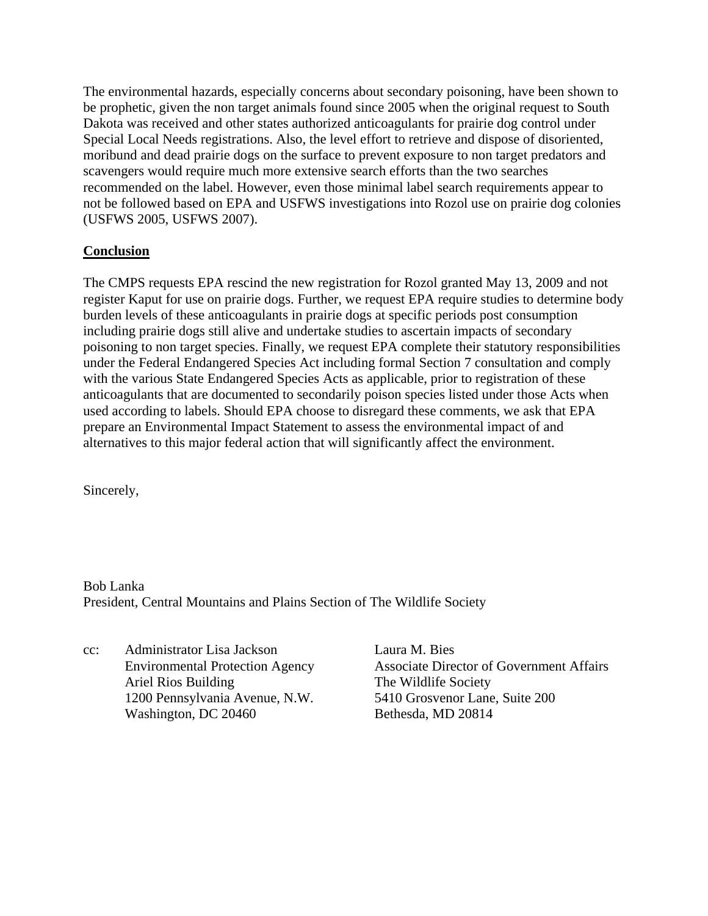The environmental hazards, especially concerns about secondary poisoning, have been shown to be prophetic, given the non target animals found since 2005 when the original request to South Dakota was received and other states authorized anticoagulants for prairie dog control under Special Local Needs registrations. Also, the level effort to retrieve and dispose of disoriented, moribund and dead prairie dogs on the surface to prevent exposure to non target predators and scavengers would require much more extensive search efforts than the two searches recommended on the label. However, even those minimal label search requirements appear to not be followed based on EPA and USFWS investigations into Rozol use on prairie dog colonies (USFWS 2005, USFWS 2007).

### **Conclusion**

The CMPS requests EPA rescind the new registration for Rozol granted May 13, 2009 and not register Kaput for use on prairie dogs. Further, we request EPA require studies to determine body burden levels of these anticoagulants in prairie dogs at specific periods post consumption including prairie dogs still alive and undertake studies to ascertain impacts of secondary poisoning to non target species. Finally, we request EPA complete their statutory responsibilities under the Federal Endangered Species Act including formal Section 7 consultation and comply with the various State Endangered Species Acts as applicable, prior to registration of these anticoagulants that are documented to secondarily poison species listed under those Acts when used according to labels. Should EPA choose to disregard these comments, we ask that EPA prepare an Environmental Impact Statement to assess the environmental impact of and alternatives to this major federal action that will significantly affect the environment.

Sincerely,

Bob Lanka President, Central Mountains and Plains Section of The Wildlife Society

cc: Administrator Lisa Jackson Laura M. Bies Ariel Rios Building The Wildlife Society 1200 Pennsylvania Avenue, N.W. 5410 Grosvenor Lane, Suite 200 Washington, DC 20460 Bethesda, MD 20814

Environmental Protection Agency Associate Director of Government Affairs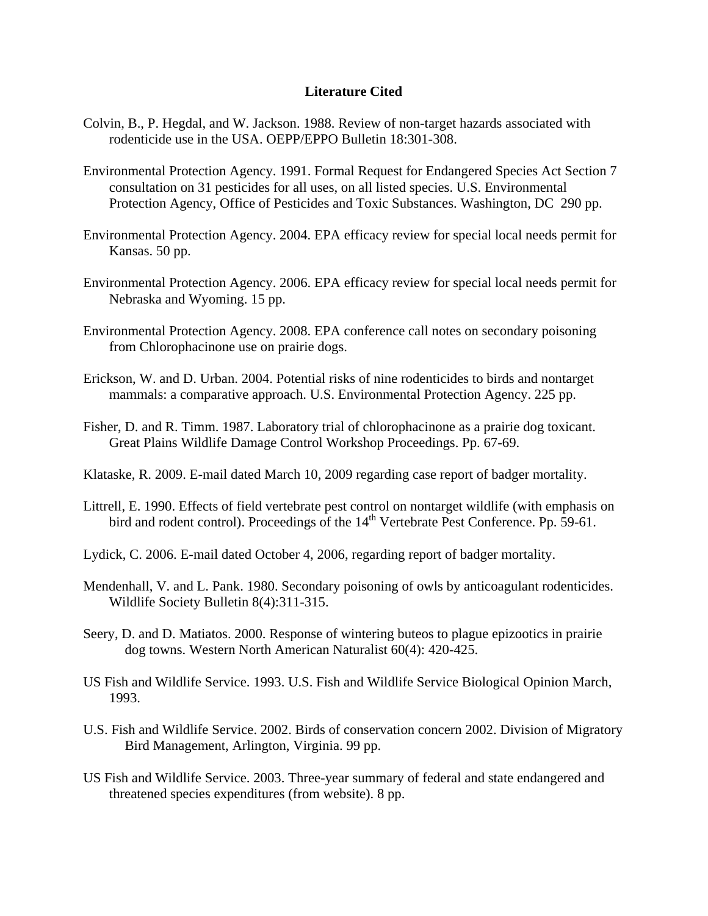#### **Literature Cited**

- Colvin, B., P. Hegdal, and W. Jackson. 1988. Review of non-target hazards associated with rodenticide use in the USA. OEPP/EPPO Bulletin 18:301-308.
- Environmental Protection Agency. 1991. Formal Request for Endangered Species Act Section 7 consultation on 31 pesticides for all uses, on all listed species. U.S. Environmental Protection Agency, Office of Pesticides and Toxic Substances. Washington, DC 290 pp.
- Environmental Protection Agency. 2004. EPA efficacy review for special local needs permit for Kansas. 50 pp.
- Environmental Protection Agency. 2006. EPA efficacy review for special local needs permit for Nebraska and Wyoming. 15 pp.
- Environmental Protection Agency. 2008. EPA conference call notes on secondary poisoning from Chlorophacinone use on prairie dogs.
- Erickson, W. and D. Urban. 2004. Potential risks of nine rodenticides to birds and nontarget mammals: a comparative approach. U.S. Environmental Protection Agency. 225 pp.
- Fisher, D. and R. Timm. 1987. Laboratory trial of chlorophacinone as a prairie dog toxicant. Great Plains Wildlife Damage Control Workshop Proceedings. Pp. 67-69.
- Klataske, R. 2009. E-mail dated March 10, 2009 regarding case report of badger mortality.
- Littrell, E. 1990. Effects of field vertebrate pest control on nontarget wildlife (with emphasis on bird and rodent control). Proceedings of the  $14<sup>th</sup>$  Vertebrate Pest Conference. Pp. 59-61.
- Lydick, C. 2006. E-mail dated October 4, 2006, regarding report of badger mortality.
- Mendenhall, V. and L. Pank. 1980. Secondary poisoning of owls by anticoagulant rodenticides. Wildlife Society Bulletin 8(4):311-315.
- Seery, D. and D. Matiatos. 2000. Response of wintering buteos to plague epizootics in prairie dog towns. Western North American Naturalist 60(4): 420-425.
- US Fish and Wildlife Service. 1993. U.S. Fish and Wildlife Service Biological Opinion March, 1993.
- U.S. Fish and Wildlife Service. 2002. Birds of conservation concern 2002. Division of Migratory Bird Management, Arlington, Virginia. 99 pp.
- US Fish and Wildlife Service. 2003. Three-year summary of federal and state endangered and threatened species expenditures (from website). 8 pp.